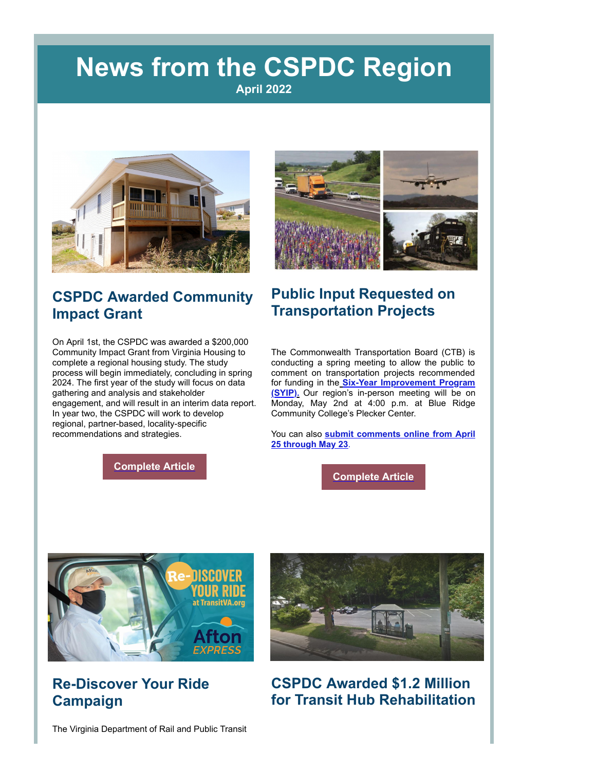## **News from the CSPDC Region April 2022**



#### **CSPDC Awarded Community Impact Grant**

On April 1st, the CSPDC was awarded a \$200,000 Community Impact Grant from Virginia Housing to complete a regional housing study. The study process will begin immediately, concluding in spring 2024. The first year of the study will focus on data gathering and analysis and stakeholder engagement, and will result in an interim data report. In year two, the CSPDC will work to develop regional, partner-based, locality-specific recommendations and strategies.

**[Complete Article](https://r20.rs6.net/tn.jsp?f=00169aVDB_z4tlCWEgLtZLLd9HQVmx4pHNzADdTfG67AFO6NW8efw7ejHa8lcmQhby-3cX9MAPWcu5xYBcP9ytl34vlxl8QyGJsgHyB9ECQSxIJn9C_76cOgZqqghT83d_2KiRnPttRClyEY3yoKplTnYWHyyvrECJRlX0nMTRj9Mx2ytURPHmj7AjsR5KX5tw4H-EYtqndzw2v9kKi4REMfw==&c=ApjHj-iQWCp3EnlAdwnkl91bc6HNIiKfuHmKFI6QVqkCMcIu0P5jjw==&ch=chkaqmeBRfgd_cJJy7f25LVC9hDSLz526-hjh3ZCqrs5nplwWEwvUg==)**



#### **Public Input Requested on Transportation Projects**

The Commonwealth Transportation Board (CTB) is conducting a spring meeting to allow the public to comment on transportation projects recommended for funding in the **Six-Year Improvement Program (SYIP).** [Our region's in-person meeting will be on](https://r20.rs6.net/tn.jsp?f=00169aVDB_z4tlCWEgLtZLLd9HQVmx4pHNzADdTfG67AFO6NW8efw7ejHa8lcmQhby-d0mqBRMXElp4SWmnpK3oeILALvS2SEBOTH--AT01stAlsiyk94Auim0hH0R9J9r2smTH6vxR4KTWuv5_UKEnoocrqtQL2B-HCdfbGUkHRMI10WWXO6RYONWiUvxym-ECWqIg4QY1fvU=&c=ApjHj-iQWCp3EnlAdwnkl91bc6HNIiKfuHmKFI6QVqkCMcIu0P5jjw==&ch=chkaqmeBRfgd_cJJy7f25LVC9hDSLz526-hjh3ZCqrs5nplwWEwvUg==) Monday, May 2nd at 4:00 p.m. at Blue Ridge Community College's Plecker Center.

You can also **[submit comments online from April](https://r20.rs6.net/tn.jsp?f=00169aVDB_z4tlCWEgLtZLLd9HQVmx4pHNzADdTfG67AFO6NW8efw7ejHa8lcmQhby-ANnaAhZLMPoW1GkCyKllzftzgkUGq4ShYjLRdseOyIWmK_s27vATNQA81OnIWDMgOiOpaHz18m2f93GzLara4P2bhqD_6oTM7u3qXdxfhf6pZrXUlK5i7tnyYO5X3fST34dVFSGIrYTq4xOchu-IXQ==&c=ApjHj-iQWCp3EnlAdwnkl91bc6HNIiKfuHmKFI6QVqkCMcIu0P5jjw==&ch=chkaqmeBRfgd_cJJy7f25LVC9hDSLz526-hjh3ZCqrs5nplwWEwvUg==) 25 through May 23**.

**[Complete Article](https://r20.rs6.net/tn.jsp?f=00169aVDB_z4tlCWEgLtZLLd9HQVmx4pHNzADdTfG67AFO6NW8efw7ejHa8lcmQhby-cG0rg14gCXnNfi_6KysoxTTaWDhE5mV9NCXkMWYP0PsFYJtPR2DkP2aj2wVjsqdtdPhKtiovKFXT8iIUszrYOhym4rs6r-9Qsx6GfghHZmdZM20DXKYN7Xs315eok-P-h_klNO-1mRWKfnLOSAJycv3uPZTzT_SYok5CpfdUL2xQzjKKt2_s6A==&c=ApjHj-iQWCp3EnlAdwnkl91bc6HNIiKfuHmKFI6QVqkCMcIu0P5jjw==&ch=chkaqmeBRfgd_cJJy7f25LVC9hDSLz526-hjh3ZCqrs5nplwWEwvUg==)**



#### **Re-Discover Your Ride Campaign**



**CSPDC Awarded \$1.2 Million for Transit Hub Rehabilitation**

The Virginia Department of Rail and Public Transit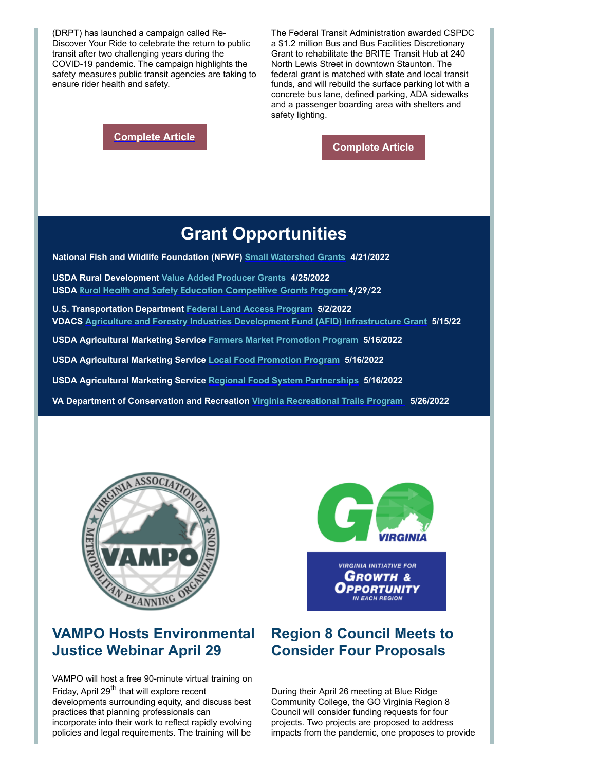(DRPT) has launched a campaign called Re-Discover Your Ride to celebrate the return to public transit after two challenging years during the COVID-19 pandemic. The campaign highlights the safety measures public transit agencies are taking to ensure rider health and safety.

**[Complete Article](https://r20.rs6.net/tn.jsp?f=00169aVDB_z4tlCWEgLtZLLd9HQVmx4pHNzADdTfG67AFO6NW8efw7ejHa8lcmQhby-ZQ7as6GB-gUAneSXBkh5dyz96A47kW9hCm1L1eqDDmq4C5nQFHQUtvdWyP7FUfqrCYkzOVRMUtsfsfmymE1hcbhJdkq3X8QMoF6Wi1Bk4P_ReMEIhkyqXwpy9TzXZyYLVohn2bO52bCQ74an3tkgjw==&c=ApjHj-iQWCp3EnlAdwnkl91bc6HNIiKfuHmKFI6QVqkCMcIu0P5jjw==&ch=chkaqmeBRfgd_cJJy7f25LVC9hDSLz526-hjh3ZCqrs5nplwWEwvUg==)**

The Federal Transit Administration awarded CSPDC a \$1.2 million Bus and Bus Facilities Discretionary Grant to rehabilitate the BRITE Transit Hub at 240 North Lewis Street in downtown Staunton. The federal grant is matched with state and local transit funds, and will rebuild the surface parking lot with a concrete bus lane, defined parking, ADA sidewalks and a passenger boarding area with shelters and safety lighting.

**[Complete Article](https://r20.rs6.net/tn.jsp?f=00169aVDB_z4tlCWEgLtZLLd9HQVmx4pHNzADdTfG67AFO6NW8efw7ejHa8lcmQhby-ZnlDNz718kS0TnHZOfe3MJDMEDQHWYwGfagwq3gs8yS5A0uZ3qiXCpEJxcXcs5HFafE7G2220LZLYDez-bcBtfJ9nsO5ieOpL5dVzLxsw3X4BENiEDd-88UqL-l4XJ_Zul8yy-8sPdS3vknCs6CpY9xqurh-bLEC8St47oU12-WHM2lSMPfk2A==&c=ApjHj-iQWCp3EnlAdwnkl91bc6HNIiKfuHmKFI6QVqkCMcIu0P5jjw==&ch=chkaqmeBRfgd_cJJy7f25LVC9hDSLz526-hjh3ZCqrs5nplwWEwvUg==)**

### **Grant Opportunities**

**National Fish and Wildlife Foundation (NFWF) [Small Watershed Grants](https://r20.rs6.net/tn.jsp?f=00169aVDB_z4tlCWEgLtZLLd9HQVmx4pHNzADdTfG67AFO6NW8efw7ejHa8lcmQhby-SDnRtAjNu1ZqUtjD0bYJCEFPf-vzxvTLmoU--4jxKrEUWsiOSNGk8iuLvZOqHQdQWvWKNN5gVxvbyN5gFviX93EQCfmM6-4SoGYOF33mZnWeG2glVGT8_zHZwJS_6tx4_fhDZWuvHl4yZuXteSZzX_NpIjzwJy6u602uVP8fcYdL_B4e9e8j9-RlEzeni3boh7lCP9Gm1LY=&c=ApjHj-iQWCp3EnlAdwnkl91bc6HNIiKfuHmKFI6QVqkCMcIu0P5jjw==&ch=chkaqmeBRfgd_cJJy7f25LVC9hDSLz526-hjh3ZCqrs5nplwWEwvUg==) 4/21/2022**

**USDA Rural Development [Value Added Producer Grants](https://r20.rs6.net/tn.jsp?f=00169aVDB_z4tlCWEgLtZLLd9HQVmx4pHNzADdTfG67AFO6NW8efw7ejHa8lcmQhby-w9CpDQKcNbu2SgoU6DBzo3hLljxGPa5aVFLDaz7oqYnTFZEeqa1oLm33ns7vN85BSdJu8IAQdyt6g5gtq3dIwiNEIpAFYA6791GfGrmYbKwqqmZPXPgOe26n8FTHUfkuhVuvZZlbAA_JqJQgPtapEZuBbrCMCzn-OX81vduDDeo=&c=ApjHj-iQWCp3EnlAdwnkl91bc6HNIiKfuHmKFI6QVqkCMcIu0P5jjw==&ch=chkaqmeBRfgd_cJJy7f25LVC9hDSLz526-hjh3ZCqrs5nplwWEwvUg==) 4/25/2022 USDA [Rural Health and Safety Education Competitive Grants Program](https://r20.rs6.net/tn.jsp?f=00169aVDB_z4tlCWEgLtZLLd9HQVmx4pHNzADdTfG67AFO6NW8efw7ejHa8lcmQhby-ZGdAIDRypHfvoOJ_ElOc1TtO2JdOj5nB1UJFWOgEBbeiHACtPvlzlHdaqF2tgZWLCKtBDa43QTrBVu8rIsZ24JrFGPa2dp9suvgQRGA2KNHhGXxVpTIIE91m9Z_uglta6F0IHLWdp4wpQaepX0CR5HrUMDda9bpQAUtmGlJiciFlvARXR_NZYBhMDC_aWUYr3lGcgxd_pOBhVo-_3vjvxZXy_QqefpqGF68SqGzOilItFiJiQ_69RVIN78B1DFs28Z6zFxYuxNIj9Ka-M7i7KAkzNZcugT8Wwa37TolGYkx4004rkFb3OUVZ88jGKyEQYys4NGLi5IM=&c=ApjHj-iQWCp3EnlAdwnkl91bc6HNIiKfuHmKFI6QVqkCMcIu0P5jjw==&ch=chkaqmeBRfgd_cJJy7f25LVC9hDSLz526-hjh3ZCqrs5nplwWEwvUg==) 4/29/22**

**U.S. Transportation Department [Federal Land Access Program](https://r20.rs6.net/tn.jsp?f=00169aVDB_z4tlCWEgLtZLLd9HQVmx4pHNzADdTfG67AFO6NW8efw7ejHa8lcmQhby-pLxE0ZHTFTf6IokFMhbrL4EMSakXCHNzHTy8FxarxOSQGmPgu6Ic03rcljK6APeSDUwD1CUZeE9BnJQCoz0pLSetFt6WkooVX4Q7kWELvqvkTUFFA4MKS9H_ide356kV&c=ApjHj-iQWCp3EnlAdwnkl91bc6HNIiKfuHmKFI6QVqkCMcIu0P5jjw==&ch=chkaqmeBRfgd_cJJy7f25LVC9hDSLz526-hjh3ZCqrs5nplwWEwvUg==) 5/2/2022 VDACS [Agriculture and Forestry Industries Development Fund \(AFID\) Infrastructure Grant](https://r20.rs6.net/tn.jsp?f=00169aVDB_z4tlCWEgLtZLLd9HQVmx4pHNzADdTfG67AFO6NW8efw7ejHa8lcmQhby-p6gh270cFs9IUjxQbwySzMlyTk5vb3RTZoJfie4QjEx-NFwP8xGrDoSJy5xqgQE1LxdFYQuO3z7NhMwo2vqY-wEZ1ioAKO32TeWWlAMD9MLhODUMx7k8GjmGdVTCGQXzveQinvJKrK7BJ2NPcwlN0w==&c=ApjHj-iQWCp3EnlAdwnkl91bc6HNIiKfuHmKFI6QVqkCMcIu0P5jjw==&ch=chkaqmeBRfgd_cJJy7f25LVC9hDSLz526-hjh3ZCqrs5nplwWEwvUg==) 5/15/22**

**USDA Agricultural Marketing Service [Farmers Market Promotion Program](https://r20.rs6.net/tn.jsp?f=00169aVDB_z4tlCWEgLtZLLd9HQVmx4pHNzADdTfG67AFO6NW8efw7ejHa8lcmQhby-efUnxVTkk93Gxxe7DimFYAbg75apW8wRIHwa-QYLqYZ3JAYKcv9XqrNhvRuc4wuWxSBDMgIAgZQ2H9ywRzdp8wADapGmBQ9vzitm4qYPVgQPpz3BwVtXjCcTXpIVCCBW54JjayDP7gFdT4VqXs8YZg==&c=ApjHj-iQWCp3EnlAdwnkl91bc6HNIiKfuHmKFI6QVqkCMcIu0P5jjw==&ch=chkaqmeBRfgd_cJJy7f25LVC9hDSLz526-hjh3ZCqrs5nplwWEwvUg==) 5/16/2022**

**USDA Agricultural Marketing Service [Local Food Promotion Program](https://r20.rs6.net/tn.jsp?f=00169aVDB_z4tlCWEgLtZLLd9HQVmx4pHNzADdTfG67AFO6NW8efw7ejHa8lcmQhby-7OvSUkPiQ_iqMSnzuSbbrhiLwJ2VIypR8GrX4DJUu1wWKLLj-My32mFGJkV-LM9q3AE-3j_BFP1E93xTS-RswxWN2BKGx1JfXKcPDUfi6XEk6G118i0bSgO4e5HQxhoKjegMba9ObAGaVK8_mIjKqQ==&c=ApjHj-iQWCp3EnlAdwnkl91bc6HNIiKfuHmKFI6QVqkCMcIu0P5jjw==&ch=chkaqmeBRfgd_cJJy7f25LVC9hDSLz526-hjh3ZCqrs5nplwWEwvUg==) 5/16/2022**

**USDA Agricultural Marketing Service [Regional Food System Partnerships](https://r20.rs6.net/tn.jsp?f=00169aVDB_z4tlCWEgLtZLLd9HQVmx4pHNzADdTfG67AFO6NW8efw7ejHa8lcmQhby-ozfu9pClepLJ1OZRyWs5iRjOQx3f7_o0qEJ_CKD0pB1pI_t31fqJouoKg9pNb6qYhmr7j6BNPx1bqUv34-N32xfA31VmCgCb-poHu8-0w8C7874AqnidUxCU9_8502Fm-izoSGK-WfK2PRcL12RzGg==&c=ApjHj-iQWCp3EnlAdwnkl91bc6HNIiKfuHmKFI6QVqkCMcIu0P5jjw==&ch=chkaqmeBRfgd_cJJy7f25LVC9hDSLz526-hjh3ZCqrs5nplwWEwvUg==) 5/16/2022**

**VA Department of Conservation and Recreation [Virginia Recreational Trails Program](https://r20.rs6.net/tn.jsp?f=00169aVDB_z4tlCWEgLtZLLd9HQVmx4pHNzADdTfG67AFO6NW8efw7ejHa8lcmQhby-xEm04Utwc10r7USrMe9JTu9YAU2ZPb8VthT6fsD8pI5_0SN5c4ZdWDPKKBhGVlVgM0ImHJNrs8MO9KepH2vOFpQCkM4-5gSkOHr377y1y54S4TdUfDz2fzWqJLkA50uQ&c=ApjHj-iQWCp3EnlAdwnkl91bc6HNIiKfuHmKFI6QVqkCMcIu0P5jjw==&ch=chkaqmeBRfgd_cJJy7f25LVC9hDSLz526-hjh3ZCqrs5nplwWEwvUg==) 5/26/2022**



#### **VAMPO Hosts Environmental Justice Webinar April 29**

VAMPO will host a free 90-minute virtual training on Friday, April 29<sup>th</sup> that will explore recent developments surrounding equity, and discuss best practices that planning professionals can incorporate into their work to reflect rapidly evolving

policies and legal requirements. The training will be



**VIRGINIA INITIATIVE FOR** Growтн & Opportunity IN EACH REGION

#### **Region 8 Council Meets to Consider Four Proposals**

During their April 26 meeting at Blue Ridge Community College, the GO Virginia Region 8 Council will consider funding requests for four projects. Two projects are proposed to address impacts from the pandemic, one proposes to provide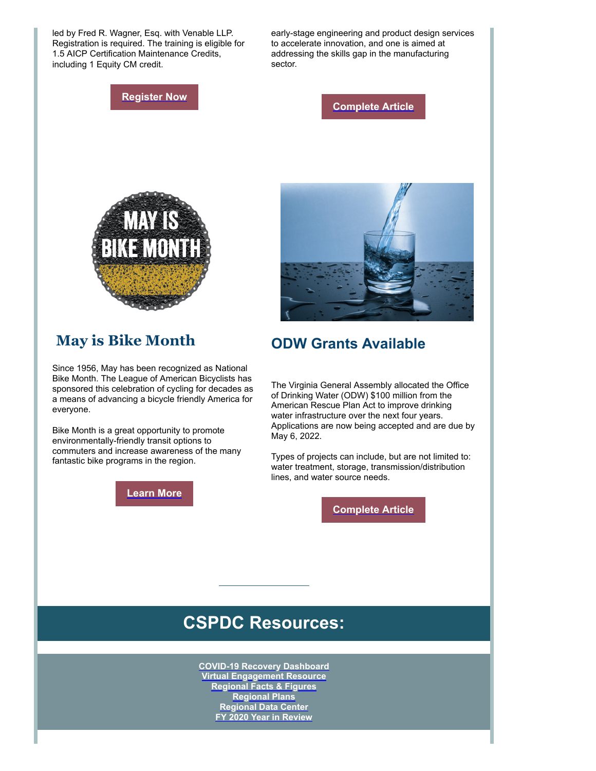led by Fred R. Wagner, Esq. with Venable LLP. Registration is required. The training is eligible for 1.5 AICP Certification Maintenance Credits, including 1 Equity CM credit.

early-stage engineering and product design services to accelerate innovation, and one is aimed at addressing the skills gap in the manufacturing sector.

#### **[Register Now](https://r20.rs6.net/tn.jsp?f=00169aVDB_z4tlCWEgLtZLLd9HQVmx4pHNzADdTfG67AFO6NW8efw7ejHa8lcmQhby-8tccvNhSPm9IIvsACQW4uwE_WNJv1nICagwVZzPoLGW0gL9q13TWwsipNS3ityPLWMisjwjqnwwT23R-GaMvOAMAfek5qmpW8qFi9LBmfiPsdsFe4SclrA9bUi4R9hlo9US4rLMzGuc=&c=ApjHj-iQWCp3EnlAdwnkl91bc6HNIiKfuHmKFI6QVqkCMcIu0P5jjw==&ch=chkaqmeBRfgd_cJJy7f25LVC9hDSLz526-hjh3ZCqrs5nplwWEwvUg==)**

**[Complete Article](https://r20.rs6.net/tn.jsp?f=00169aVDB_z4tlCWEgLtZLLd9HQVmx4pHNzADdTfG67AFO6NW8efw7ejHa8lcmQhby-0eLg689lGYNwXksD-a-19D0UQdcZC_mLUmPhtA0NfN5MQiczQCmS7WKysq1Ne019ebDb86QXZtWmxkOkxye7XXjb30qdEj2EoqeZ2bcsieAWq7FBXcJCcdU1xZIgrJCGmyoZBenRfQ9cNkwyLDFtvYOWvADYTLMj-phQhTkyAYE=&c=ApjHj-iQWCp3EnlAdwnkl91bc6HNIiKfuHmKFI6QVqkCMcIu0P5jjw==&ch=chkaqmeBRfgd_cJJy7f25LVC9hDSLz526-hjh3ZCqrs5nplwWEwvUg==)**



#### **May is Bike Month**

Since 1956, May has been recognized as National Bike Month. The League of American Bicyclists has sponsored this celebration of cycling for decades as a means of advancing a bicycle friendly America for everyone.

Bike Month is a great opportunity to promote environmentally-friendly transit options to commuters and increase awareness of the many fantastic bike programs in the region.





#### **ODW Grants Available**

The Virginia General Assembly allocated the Office of Drinking Water (ODW) \$100 million from the American Rescue Plan Act to improve drinking water infrastructure over the next four years. Applications are now being accepted and are due by May 6, 2022.

Types of projects can include, but are not limited to: water treatment, storage, transmission/distribution lines, and water source needs.

**[Complete Article](https://r20.rs6.net/tn.jsp?f=00169aVDB_z4tlCWEgLtZLLd9HQVmx4pHNzADdTfG67AFO6NW8efw7ejHa8lcmQhby-FOcUUyYO_74Chjy1oOMEdBTqTYwoekELzjgo5reLV95fvmgL8I-QV2BvbgG2GbMRd_IYO-lmNNHb2PwGr5MyZB1HlGd2fJdkuhQlt2I56o4W2w8BQ1TUWcjK6gMkJw4_HFcUYRB4i4ktzXJG7WLCPiLqsr1vE921dZks6eTMuyU=&c=ApjHj-iQWCp3EnlAdwnkl91bc6HNIiKfuHmKFI6QVqkCMcIu0P5jjw==&ch=chkaqmeBRfgd_cJJy7f25LVC9hDSLz526-hjh3ZCqrs5nplwWEwvUg==)**

## **CSPDC Resources:**

**[COVID-19 Recovery Dashboard](https://r20.rs6.net/tn.jsp?f=00169aVDB_z4tlCWEgLtZLLd9HQVmx4pHNzADdTfG67AFO6NW8efw7ejKXq5CLG2nXLH86gljTygk14NNktJOdrzpd5S8jrjBukSMmGYMq1bSvN-kL0Ly-Ch_sQ32b4laTdf3xsRffcbVrKT8ri0mGO0nC4r79DFolxIkku68HXrfc=&c=ApjHj-iQWCp3EnlAdwnkl91bc6HNIiKfuHmKFI6QVqkCMcIu0P5jjw==&ch=chkaqmeBRfgd_cJJy7f25LVC9hDSLz526-hjh3ZCqrs5nplwWEwvUg==) [Virtual Engagement Resource](https://r20.rs6.net/tn.jsp?f=00169aVDB_z4tlCWEgLtZLLd9HQVmx4pHNzADdTfG67AFO6NW8efw7ejNTSfD_zp_nc63WD_YFK9mw5qEpoj-7QjTuFYovRT10bgpEcjD7k5Fa10HABQydO3Ik2SbfYvx83fo9v0XVeQjTNT8961Mi6wyfOO8ikLCWNmLRpdTi0K0lwRLG6wdP2jH_FwNtcFm32gfXiEMcWeZ9Whz8v8yP4Xw==&c=ApjHj-iQWCp3EnlAdwnkl91bc6HNIiKfuHmKFI6QVqkCMcIu0P5jjw==&ch=chkaqmeBRfgd_cJJy7f25LVC9hDSLz526-hjh3ZCqrs5nplwWEwvUg==) [Regional Facts & Figures](https://r20.rs6.net/tn.jsp?f=00169aVDB_z4tlCWEgLtZLLd9HQVmx4pHNzADdTfG67AFO6NW8efw7ejODcJaeMrIDNX1NGdPS1xLRJBSaoJ2TZoA3iZNSeKW3UTr9o1f9VmpTkJShX09pv_jXai5Fb91SPonbSIoMK0uhyhSMIjtiEy9VYkGyaKz9c&c=ApjHj-iQWCp3EnlAdwnkl91bc6HNIiKfuHmKFI6QVqkCMcIu0P5jjw==&ch=chkaqmeBRfgd_cJJy7f25LVC9hDSLz526-hjh3ZCqrs5nplwWEwvUg==) [Regional Plans](https://r20.rs6.net/tn.jsp?f=00169aVDB_z4tlCWEgLtZLLd9HQVmx4pHNzADdTfG67AFO6NW8efw7ejOx8yJ6oALnRE7Dew18pjI8DNcA3-GaRYD-zDYqbV5Ia2v-UGh8vKHry0DWERoDpxalA6VsSw4t-rsX9IF2r4j75FpkeHQn1py2Aq3Os8AzS&c=ApjHj-iQWCp3EnlAdwnkl91bc6HNIiKfuHmKFI6QVqkCMcIu0P5jjw==&ch=chkaqmeBRfgd_cJJy7f25LVC9hDSLz526-hjh3ZCqrs5nplwWEwvUg==) [Regional Data Center](https://r20.rs6.net/tn.jsp?f=00169aVDB_z4tlCWEgLtZLLd9HQVmx4pHNzADdTfG67AFO6NW8efw7ejOx8yJ6oALnRhJfEws6xSamxB6NfhX8HgeLZEYNU3j92i-0evgTQLzTW4PsX-Tv1SlS8aajVwBmMNwFRxdxENKNgNwBii-bpktNR6jBVXhB3&c=ApjHj-iQWCp3EnlAdwnkl91bc6HNIiKfuHmKFI6QVqkCMcIu0P5jjw==&ch=chkaqmeBRfgd_cJJy7f25LVC9hDSLz526-hjh3ZCqrs5nplwWEwvUg==) [FY 2020 Year in Review](https://r20.rs6.net/tn.jsp?f=00169aVDB_z4tlCWEgLtZLLd9HQVmx4pHNzADdTfG67AFO6NW8efw7ejJBYZcQ5eQiu67wp8SnDrICEJTyifBvOZ3cn6gddlxM0W1X_8hCKODXoinZnpRuK0weHAmhnreoIQChK33gndksVuc_0nEYKZ-NI7zFvC9fvoegbyZOv2pXdZn_aD3GIOcFJ9gQAhKW0VWyCBgqBnL9rY6B7YlM5Eqwjz0J9_H7kPGprPVJt8Vk=&c=ApjHj-iQWCp3EnlAdwnkl91bc6HNIiKfuHmKFI6QVqkCMcIu0P5jjw==&ch=chkaqmeBRfgd_cJJy7f25LVC9hDSLz526-hjh3ZCqrs5nplwWEwvUg==)**